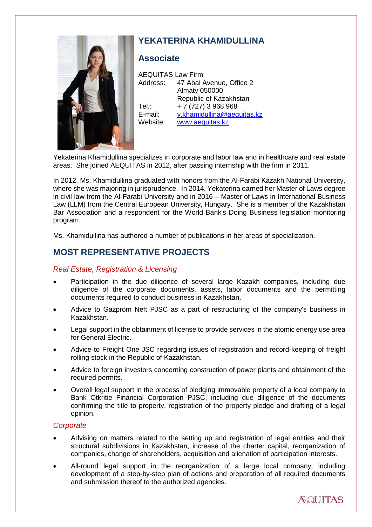

# **YEKATERINA KHAMIDULLINA**

## **Associate**

AEQUITAS Law Firm Address: 47 Abai Avenue, Office 2 Almaty 050000 Republic of Kazakhstan Tel.:  $+ 7 (727) 3 968 968$ E-mail: [y.khamidullina@aequitas.kz](mailto:y.khamidullina@aequitas.kz) Website: [www.aequitas.kz](http://www.aequitas.kz/)

Yekaterina Khamidullina specializes in corporate and labor law and in healthcare and real estate areas. She joined AEQUITAS in 2012, after passing internship with the firm in 2011.

In 2012, Ms. Khamidullina graduated with honors from the Al-Farabi Kazakh National University, where she was majoring in jurisprudence. In 2014, Yekaterina earned her Master of Laws degree in civil law from the Al-Farabi University and in 2016 – Master of Laws in International Business Law (LLM) from the Central European University, Hungary. She is a member of the Kazakhstan Bar Association and a respondent for the World Bank's Doing Business legislation monitoring program.

Ms. Khamidullina has authored a number of publications in her areas of specialization.

# **MOST REPRESENTATIVE PROJECTS**

### *Real Estate, Registration & Licensing*

- Participation in the due diligence of several large Kazakh companies, including due diligence of the corporate documents, assets, labor documents and the permitting documents required to conduct business in Kazakhstan.
- Advice to Gazprom Neft PJSC as a part of restructuring of the company's business in Kazakhstan.
- Legal support in the obtainment of license to provide services in the atomic energy use area for General Electric.
- Advice to Freight One JSC regarding issues of registration and record-keeping of freight rolling stock in the Republic of Kazakhstan.
- Advice to foreign investors concerning construction of power plants and obtainment of the required permits.
- Overall legal support in the process of pledging immovable property of a local company to Bank Otkritie Financial Corporation PJSC, including due diligence of the documents confirming the title to property, registration of the property pledge and drafting of a legal opinion.

### *Corporate*

- Advising on matters related to the setting up and registration of legal entities and their structural subdivisions in Kazakhstan, increase of the charter capital, reorganization of companies, change of shareholders, acquisition and alienation of participation interests.
- All-round legal support in the reorganization of a large local company, including development of a step-by-step plan of actions and preparation of all required documents and submission thereof to the authorized agencies.

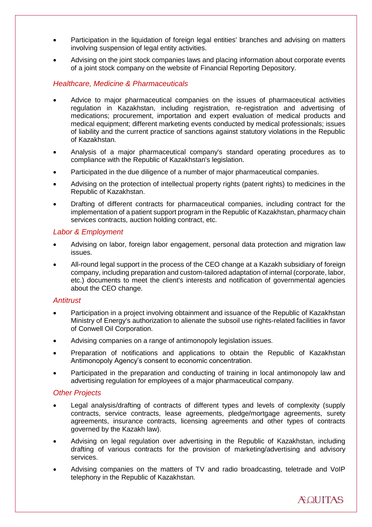- Participation in the liquidation of foreign legal entities' branches and advising on matters involving suspension of legal entity activities.
- Advising on the joint stock companies laws and placing information about corporate events of a joint stock company on the website of Financial Reporting Depository.

### *Healthcare, Medicine & Pharmaceuticals*

- Advice to major pharmaceutical companies on the issues of pharmaceutical activities regulation in Kazakhstan, including registration, re-registration and advertising of medications; procurement, importation and expert evaluation of medical products and medical equipment; different marketing events conducted by medical professionals; issues of liability and the current practice of sanctions against statutory violations in the Republic of Kazakhstan.
- Analysis of a major pharmaceutical company's standard operating procedures as to compliance with the Republic of Kazakhstan's legislation.
- Participated in the due diligence of a number of major pharmaceutical companies.
- Advising on the protection of intellectual property rights (patent rights) to medicines in the Republic of Kazakhstan.
- Drafting of different contracts for pharmaceutical companies, including contract for the implementation of a patient support program in the Republic of Kazakhstan, pharmacy chain services contracts, auction holding contract, etc.

#### *Labor & Employment*

- Advising on labor, foreign labor engagement, personal data protection and migration law issues.
- All-round legal support in the process of the CEO change at a Kazakh subsidiary of foreign company, including preparation and custom-tailored adaptation of internal (corporate, labor, etc.) documents to meet the client's interests and notification of governmental agencies about the CEO change.

#### *Antitrust*

- Participation in a project involving obtainment and issuance of the Republic of Kazakhstan Ministry of Energy's authorization to alienate the subsoil use rights-related facilities in favor of Conwell Oil Corporation.
- Advising companies on a range of antimonopoly legislation issues.
- Preparation of notifications and applications to obtain the Republic of Kazakhstan Antimonopoly Agency's consent to economic concentration.
- Participated in the preparation and conducting of training in local antimonopoly law and advertising regulation for employees of a major pharmaceutical company.

#### *Other Projects*

- Legal analysis/drafting of contracts of different types and levels of complexity (supply contracts, service contracts, lease agreements, pledge/mortgage agreements, surety agreements, insurance contracts, licensing agreements and other types of contracts governed by the Kazakh law).
- Advising on legal regulation over advertising in the Republic of Kazakhstan, including drafting of various contracts for the provision of marketing/advertising and advisory services.
- Advising companies on the matters of TV and radio broadcasting, teletrade and VoIP telephony in the Republic of Kazakhstan.